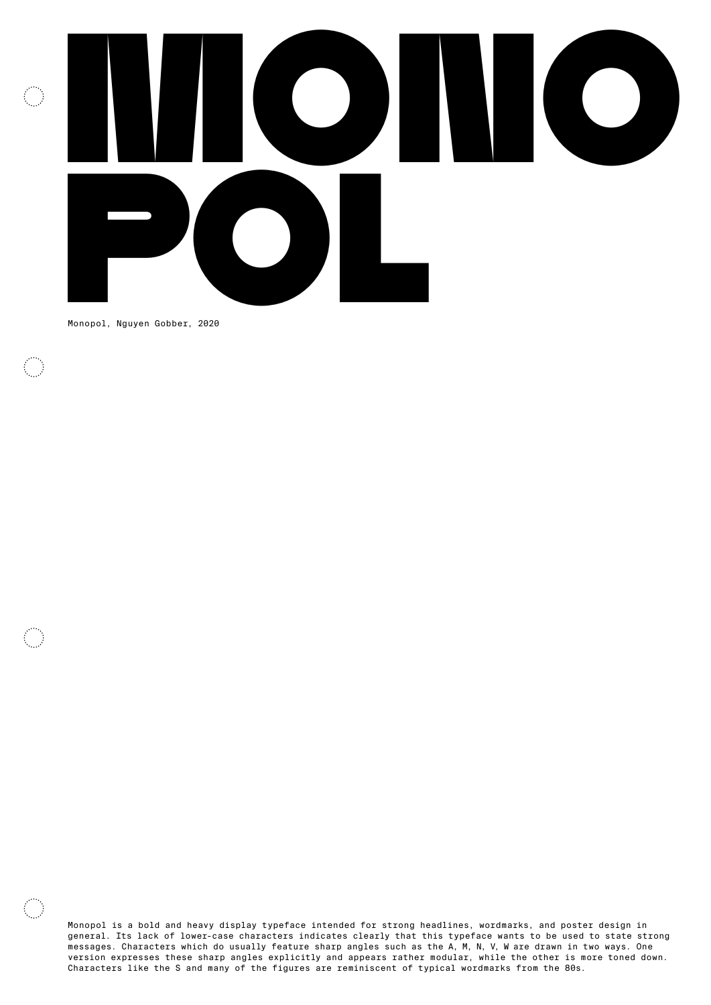

Monopol, Nguyen Gobber, 2020

 $\sim$ 

Monopol is a bold and heavy display typeface intended for strong headlines, wordmarks, and poster design in general. Its lack of lower-case characters indicates clearly that this typeface wants to be used to state strong messages. Characters which do usually feature sharp angles such as the A, M, N, V, W are drawn in two ways. One version expresses these sharp angles explicitly and appears rather modular, while the other is more toned down. Characters like the S and many of the figures are reminiscent of typical wordmarks from the 80s.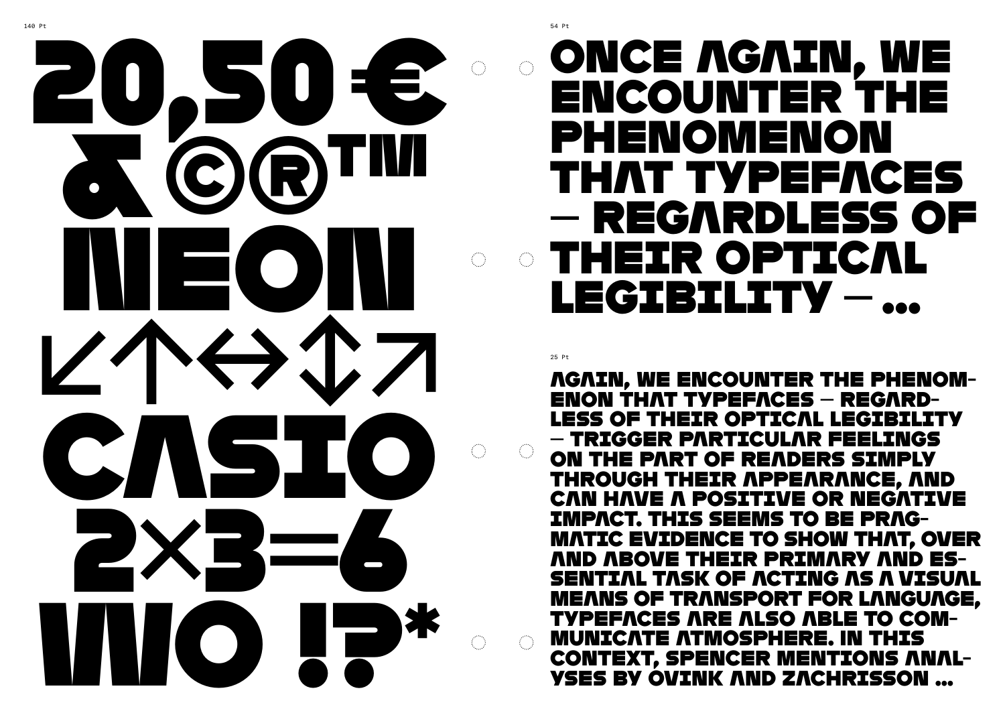

ENCOUNTER THE PHENOMENON THAT TYPEFACES — REGARDLESS OF **THEIR OPTICAL** LEGIBILITY - ...

**ENON THAT TYPEFACES – REGARD-LESS OF THEIR OPTICAL LEGIBILITY** - TRIGGER PARTICULAR FEELINGS ON THE PART OF READERS SIMPLY THROUGH THEIR APPEARANCE, AND CAN HAVE A POSITIVE OR NEGATIVE **IMPACT. THIS SEEMS TO BE PRAG-AND ABOVE THEIR PRIMARY AND ES-TYPEFACES ARE ALSO ABLE TO COM-MUNICATE ATMOSPHERE. IN THIS YSES BY OVINK AND ZACHRISSON ...** 

## ONCE AGAIN, WE

## *NGAIN, WE ENCOUNTER THE PHENOM-***MATIC EVIDENCE TO SHOW THAT, OVER SENTIAL TASK OF ACTING AS A VISUAL MEANS OF TRANSPORT FOR LANGUAGE, CONTEXT, SPENCER MENTIONS ANAL-**